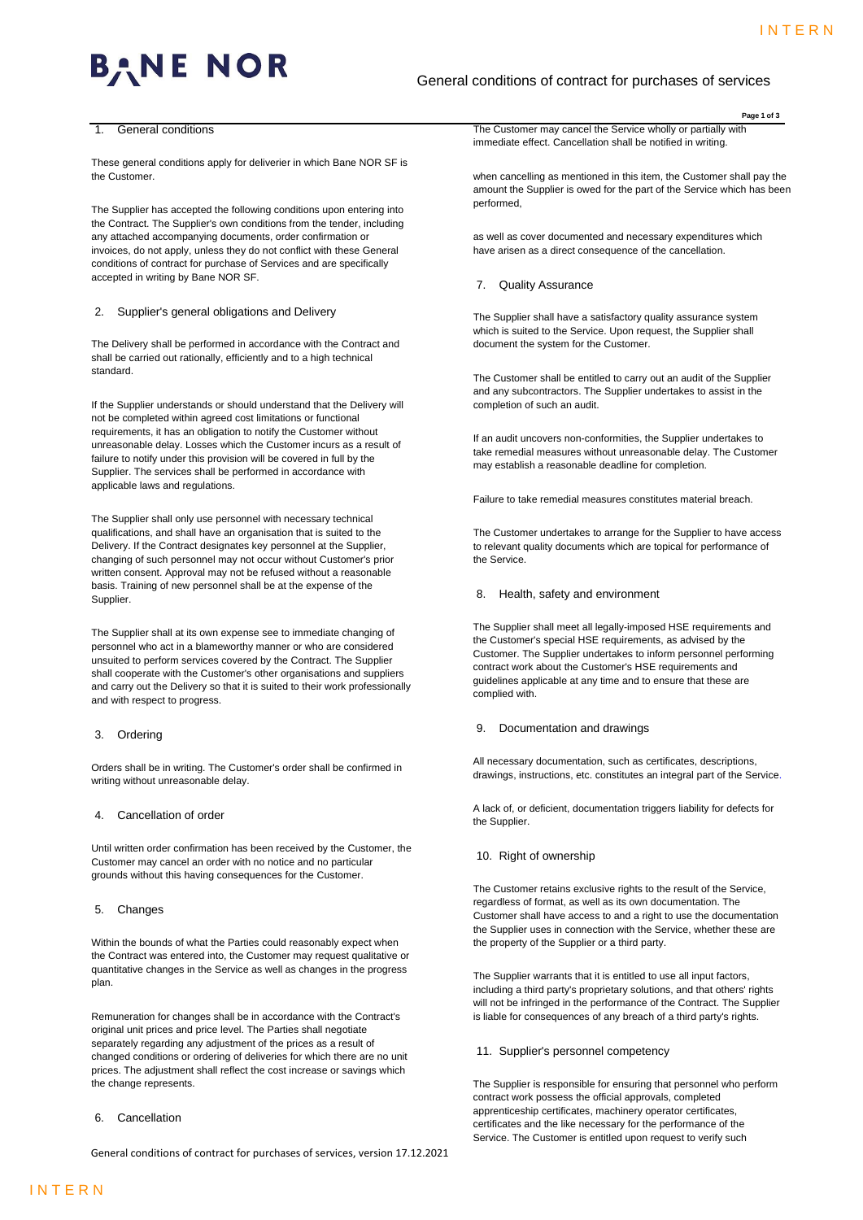# BANE **NOR**

# General conditions of contract for purchases of services

#### 1. General conditions

These general conditions apply for deliverier in which Bane NOR SF is the Customer.

The Supplier has accepted the following conditions upon entering into the Contract. The Supplier's own conditions from the tender, including any attached accompanying documents, order confirmation or invoices, do not apply, unless they do not conflict with these General conditions of contract for purchase of Services and are specifically accepted in writing by Bane NOR SF.

#### 2. Supplier's general obligations and Delivery

The Delivery shall be performed in accordance with the Contract and shall be carried out rationally, efficiently and to a high technical standard.

If the Supplier understands or should understand that the Delivery will not be completed within agreed cost limitations or functional requirements, it has an obligation to notify the Customer without unreasonable delay. Losses which the Customer incurs as a result of failure to notify under this provision will be covered in full by the Supplier. The services shall be performed in accordance with applicable laws and regulations.

The Supplier shall only use personnel with necessary technical qualifications, and shall have an organisation that is suited to the Delivery. If the Contract designates key personnel at the Supplier, changing of such personnel may not occur without Customer's prior written consent. Approval may not be refused without a reasonable basis. Training of new personnel shall be at the expense of the Supplier.

The Supplier shall at its own expense see to immediate changing of personnel who act in a blameworthy manner or who are considered unsuited to perform services covered by the Contract. The Supplier shall cooperate with the Customer's other organisations and suppliers and carry out the Delivery so that it is suited to their work professionally and with respect to progress.

#### 3. Ordering

Orders shall be in writing. The Customer's order shall be confirmed in writing without unreasonable delay.

# 4. Cancellation of order

Until written order confirmation has been received by the Customer, the Customer may cancel an order with no notice and no particular grounds without this having consequences for the Customer.

# 5. Changes

Within the bounds of what the Parties could reasonably expect when the Contract was entered into, the Customer may request qualitative or quantitative changes in the Service as well as changes in the progress plan.

Remuneration for changes shall be in accordance with the Contract's original unit prices and price level. The Parties shall negotiate separately regarding any adjustment of the prices as a result of changed conditions or ordering of deliveries for which there are no unit prices. The adjustment shall reflect the cost increase or savings which the change represents.

6. Cancellation

General conditions of contract for purchases of services, version 17.12.2021

**Page 1 of 3** The Customer may cancel the Service wholly or partially with

immediate effect. Cancellation shall be notified in writing.

when cancelling as mentioned in this item, the Customer shall pay the amount the Supplier is owed for the part of the Service which has been performed,

as well as cover documented and necessary expenditures which have arisen as a direct consequence of the cancellation.

## 7. Quality Assurance

The Supplier shall have a satisfactory quality assurance system which is suited to the Service. Upon request, the Supplier shall document the system for the Customer.

The Customer shall be entitled to carry out an audit of the Supplier and any subcontractors. The Supplier undertakes to assist in the completion of such an audit.

If an audit uncovers non-conformities, the Supplier undertakes to take remedial measures without unreasonable delay. The Customer may establish a reasonable deadline for completion.

Failure to take remedial measures constitutes material breach.

The Customer undertakes to arrange for the Supplier to have access to relevant quality documents which are topical for performance of the Service.

# 8. Health, safety and environment

The Supplier shall meet all legally-imposed HSE requirements and the Customer's special HSE requirements, as advised by the Customer. The Supplier undertakes to inform personnel performing contract work about the Customer's HSE requirements and guidelines applicable at any time and to ensure that these are complied with.

#### 9. Documentation and drawings

All necessary documentation, such as certificates, descriptions, drawings, instructions, etc. constitutes an integral part of the Service.

A lack of, or deficient, documentation triggers liability for defects for the Supplier.

# 10. Right of ownership

The Customer retains exclusive rights to the result of the Service, regardless of format, as well as its own documentation. The Customer shall have access to and a right to use the documentation the Supplier uses in connection with the Service, whether these are the property of the Supplier or a third party.

The Supplier warrants that it is entitled to use all input factors, including a third party's proprietary solutions, and that others' rights will not be infringed in the performance of the Contract. The Supplier is liable for consequences of any breach of a third party's rights.

### 11. Supplier's personnel competency

The Supplier is responsible for ensuring that personnel who perform contract work possess the official approvals, completed apprenticeship certificates, machinery operator certificates, certificates and the like necessary for the performance of the Service. The Customer is entitled upon request to verify such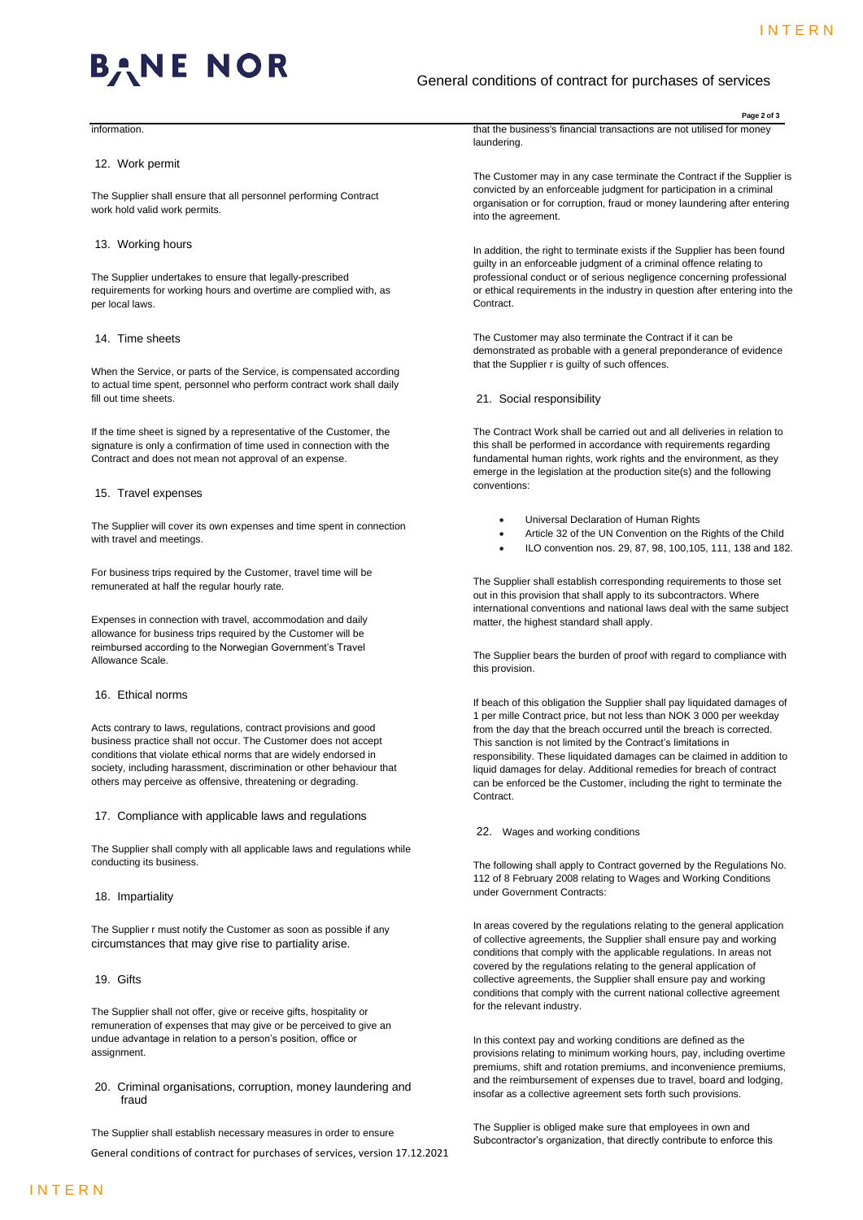**Page 2 of 3**



# General conditions of contract for purchases of services

**information** 

#### 12. Work permit

The Supplier shall ensure that all personnel performing Contract work hold valid work permits.

# 13. Working hours

The Supplier undertakes to ensure that legally-prescribed requirements for working hours and overtime are complied with, as per local laws.

### 14. Time sheets

When the Service, or parts of the Service, is compensated according to actual time spent, personnel who perform contract work shall daily fill out time sheets.

If the time sheet is signed by a representative of the Customer, the signature is only a confirmation of time used in connection with the Contract and does not mean not approval of an expense.

#### 15. Travel expenses

The Supplier will cover its own expenses and time spent in connection with travel and meetings.

For business trips required by the Customer, travel time will be remunerated at half the regular hourly rate.

Expenses in connection with travel, accommodation and daily allowance for business trips required by the Customer will be reimbursed according to the Norwegian Government's Travel Allowance Scale.

#### 16. Ethical norms

Acts contrary to laws, regulations, contract provisions and good business practice shall not occur. The Customer does not accept conditions that violate ethical norms that are widely endorsed in society, including harassment, discrimination or other behaviour that others may perceive as offensive, threatening or degrading.

17. Compliance with applicable laws and regulations

The Supplier shall comply with all applicable laws and regulations while conducting its business.

## 18. Impartiality

The Supplier r must notify the Customer as soon as possible if any circumstances that may give rise to partiality arise.

19. Gifts

The Supplier shall not offer, give or receive gifts, hospitality or remuneration of expenses that may give or be perceived to give an undue advantage in relation to a person's position, office or assignment.

20. Criminal organisations, corruption, money laundering and fraud

The Supplier shall establish necessary measures in order to ensure

General conditions of contract for purchases of services, version 17.12.2021

that the business's financial transactions are not utilised for money laundering.

The Customer may in any case terminate the Contract if the Supplier is convicted by an enforceable judgment for participation in a criminal organisation or for corruption, fraud or money laundering after entering into the agreement.

In addition, the right to terminate exists if the Supplier has been found guilty in an enforceable judgment of a criminal offence relating to professional conduct or of serious negligence concerning professional or ethical requirements in the industry in question after entering into the Contract.

The Customer may also terminate the Contract if it can be demonstrated as probable with a general preponderance of evidence that the Supplier r is guilty of such offences.

21. Social responsibility

The Contract Work shall be carried out and all deliveries in relation to this shall be performed in accordance with requirements regarding fundamental human rights, work rights and the environment, as they emerge in the legislation at the production site(s) and the following conventions:

- Universal Declaration of Human Rights
- Article 32 of the UN Convention on the Rights of the Child
- ILO convention nos. 29, 87, 98, 100,105, 111, 138 and 182.

The Supplier shall establish corresponding requirements to those set out in this provision that shall apply to its subcontractors. Where international conventions and national laws deal with the same subject matter, the highest standard shall apply.

The Supplier bears the burden of proof with regard to compliance with this provision.

If beach of this obligation the Supplier shall pay liquidated damages of 1 per mille Contract price, but not less than NOK 3 000 per weekday from the day that the breach occurred until the breach is corrected. This sanction is not limited by the Contract's limitations in responsibility. These liquidated damages can be claimed in addition to liquid damages for delay. Additional remedies for breach of contract can be enforced be the Customer, including the right to terminate the Contract.

#### 22. Wages and working conditions

The following shall apply to Contract governed by the Regulations No. 112 of 8 February 2008 relating to Wages and Working Conditions under Government Contracts:

In areas covered by the regulations relating to the general application of collective agreements, the Supplier shall ensure pay and working conditions that comply with the applicable regulations. In areas not covered by the regulations relating to the general application of collective agreements, the Supplier shall ensure pay and working conditions that comply with the current national collective agreement for the relevant industry.

In this context pay and working conditions are defined as the provisions relating to minimum working hours, pay, including overtime premiums, shift and rotation premiums, and inconvenience premiums, and the reimbursement of expenses due to travel, board and lodging, insofar as a collective agreement sets forth such provisions.

The Supplier is obliged make sure that employees in own and Subcontractor's organization, that directly contribute to enforce this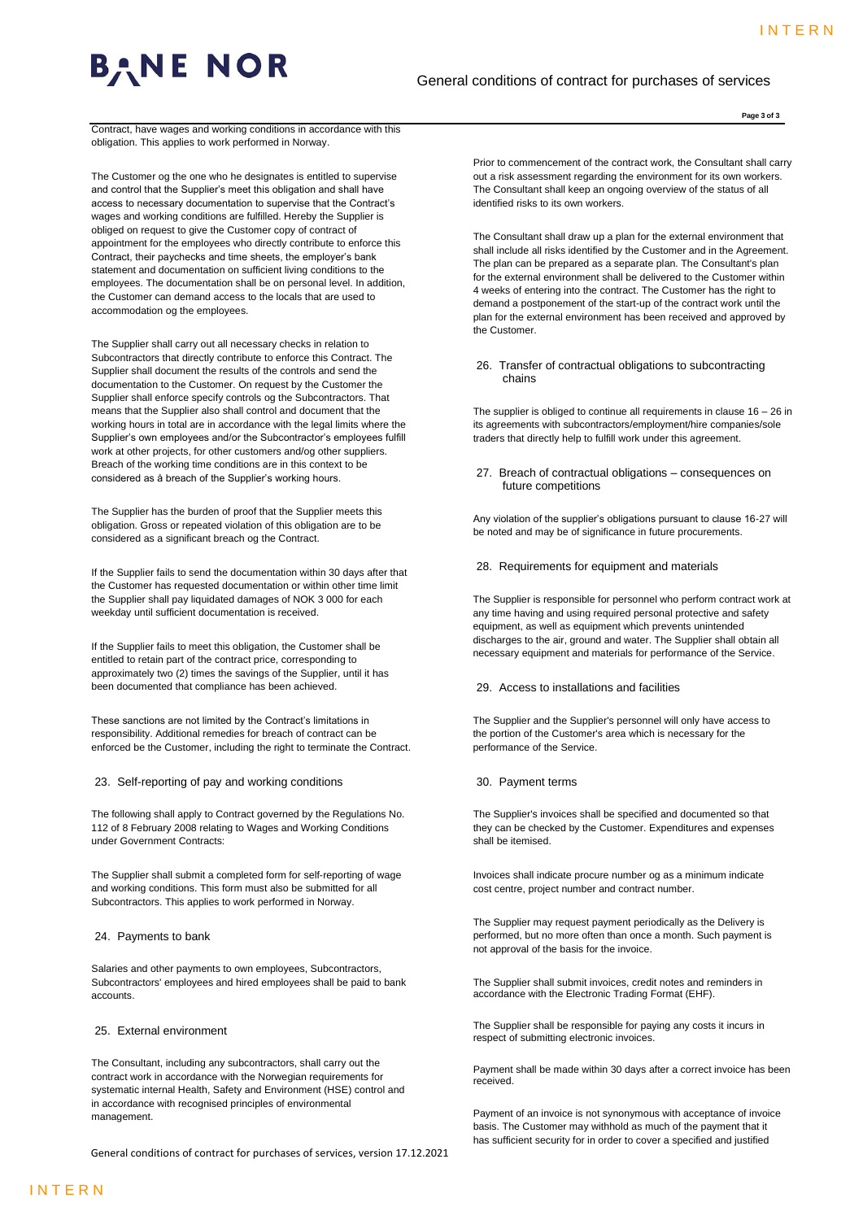

# General conditions of contract for purchases of services

**Page 3 of 3**

Contract, have wages and working conditions in accordance with this obligation. This applies to work performed in Norway.

The Customer og the one who he designates is entitled to supervise and control that the Supplier's meet this obligation and shall have access to necessary documentation to supervise that the Contract's wages and working conditions are fulfilled. Hereby the Supplier is obliged on request to give the Customer copy of contract of appointment for the employees who directly contribute to enforce this Contract, their paychecks and time sheets, the employer's bank statement and documentation on sufficient living conditions to the employees. The documentation shall be on personal level. In addition, the Customer can demand access to the locals that are used to accommodation og the employees.

The Supplier shall carry out all necessary checks in relation to Subcontractors that directly contribute to enforce this Contract. The Supplier shall document the results of the controls and send the documentation to the Customer. On request by the Customer the Supplier shall enforce specify controls og the Subcontractors. That means that the Supplier also shall control and document that the working hours in total are in accordance with the legal limits where the Supplier's own employees and/or the Subcontractor's employees fulfill work at other projects, for other customers and/og other suppliers. Breach of the working time conditions are in this context to be considered as å breach of the Supplier's working hours.

The Supplier has the burden of proof that the Supplier meets this obligation. Gross or repeated violation of this obligation are to be considered as a significant breach og the Contract.

If the Supplier fails to send the documentation within 30 days after that the Customer has requested documentation or within other time limit the Supplier shall pay liquidated damages of NOK 3 000 for each weekday until sufficient documentation is received.

If the Supplier fails to meet this obligation, the Customer shall be entitled to retain part of the contract price, corresponding to approximately two (2) times the savings of the Supplier, until it has been documented that compliance has been achieved.

These sanctions are not limited by the Contract's limitations in responsibility. Additional remedies for breach of contract can be enforced be the Customer, including the right to terminate the Contract.

23. Self-reporting of pay and working conditions

The following shall apply to Contract governed by the Regulations No. 112 of 8 February 2008 relating to Wages and Working Conditions under Government Contracts:

The Supplier shall submit a completed form for self-reporting of wage and working conditions. This form must also be submitted for all Subcontractors. This applies to work performed in Norway.

24. Payments to bank

Salaries and other payments to own employees, Subcontractors, Subcontractors' employees and hired employees shall be paid to bank accounts.

## 25. External environment

The Consultant, including any subcontractors, shall carry out the contract work in accordance with the Norwegian requirements for systematic internal Health, Safety and Environment (HSE) control and in accordance with recognised principles of environmental management.

General conditions of contract for purchases of services, version 17.12.2021

Prior to commencement of the contract work, the Consultant shall carry out a risk assessment regarding the environment for its own workers. The Consultant shall keep an ongoing overview of the status of all identified risks to its own workers.

The Consultant shall draw up a plan for the external environment that shall include all risks identified by the Customer and in the Agreement. The plan can be prepared as a separate plan. The Consultant's plan for the external environment shall be delivered to the Customer within 4 weeks of entering into the contract. The Customer has the right to demand a postponement of the start-up of the contract work until the plan for the external environment has been received and approved by the Customer.

26. Transfer of contractual obligations to subcontracting chains

The supplier is obliged to continue all requirements in clause 16 – 26 in its agreements with subcontractors/employment/hire companies/sole traders that directly help to fulfill work under this agreement.

27. Breach of contractual obligations – consequences on future competitions

Any violation of the supplier's obligations pursuant to clause 16-27 will be noted and may be of significance in future procurements.

28. Requirements for equipment and materials

The Supplier is responsible for personnel who perform contract work at any time having and using required personal protective and safety equipment, as well as equipment which prevents unintended discharges to the air, ground and water. The Supplier shall obtain all necessary equipment and materials for performance of the Service.

### 29. Access to installations and facilities

The Supplier and the Supplier's personnel will only have access to the portion of the Customer's area which is necessary for the performance of the Service.

30. Payment terms

The Supplier's invoices shall be specified and documented so that they can be checked by the Customer. Expenditures and expenses shall be itemised.

Invoices shall indicate procure number og as a minimum indicate cost centre, project number and contract number.

The Supplier may request payment periodically as the Delivery is performed, but no more often than once a month. Such payment is not approval of the basis for the invoice.

The Supplier shall submit invoices, credit notes and reminders in accordance with the Electronic Trading Format (EHF).

The Supplier shall be responsible for paying any costs it incurs in respect of submitting electronic invoices.

Payment shall be made within 30 days after a correct invoice has been received.

Payment of an invoice is not synonymous with acceptance of invoice basis. The Customer may withhold as much of the payment that it has sufficient security for in order to cover a specified and justified